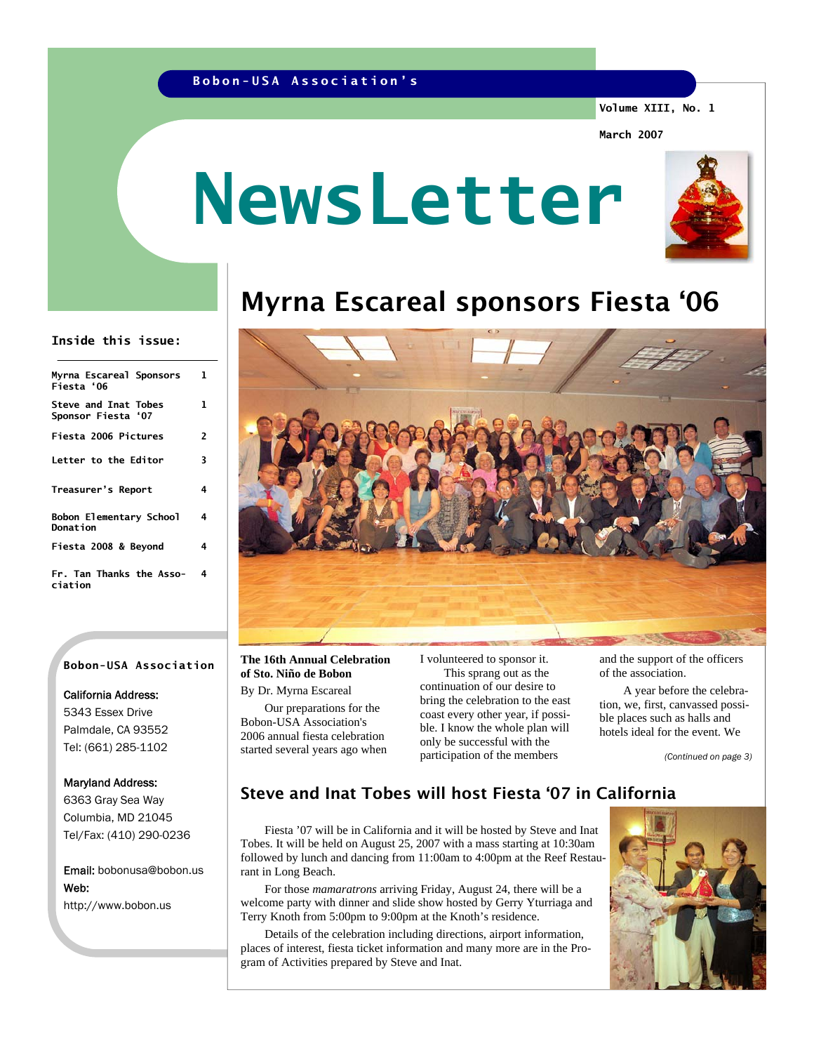### **Bobon-USA Association's**

**Volume XIII, No. 1** 

**March 2007** 

# **NewsLetter**



# Myrna Escareal sponsors Fiesta '06

#### **Inside this issue:**

| Myrna Escareal Sponsors<br>Fiesta'06              | 1 |
|---------------------------------------------------|---|
| <b>Steve and Inat Tobes</b><br>Sponsor Fiesta '07 | 1 |
| Fiesta 2006 Pictures                              | 2 |
| <b>Letter to the Editor</b>                       | 3 |
| Treasurer's Report                                | 4 |
| Bobon Elementary School<br>Donation               |   |
| Fiesta 2008 & Beyond                              | 4 |
| Fr. Tan Thanks the Asso-<br>ciation               | 4 |

#### **Bobon-USA Association**

#### California Address:

5343 Essex Drive Palmdale, CA 93552 Tel: (661) 285-1102

#### Maryland Address:

6363 Gray Sea Way Columbia, MD 21045 Tel/Fax: (410) 290-0236

Email: bobonusa@bobon.us Web: http://www.bobon.us



#### **The 16th Annual Celebration of Sto. Niño de Bobon**

By Dr. Myrna Escareal Our preparations for the Bobon-USA Association's 2006 annual fiesta celebration started several years ago when I volunteered to sponsor it. This sprang out as the continuation of our desire to bring the celebration to the east coast every other year, if possible. I know the whole plan will only be successful with the participation of the members

and the support of the officers of the association.

 A year before the celebration, we, first, canvassed possible places such as halls and hotels ideal for the event. We

*(Continued on page 3)* 

# Steve and Inat Tobes will host Fiesta '07 in California

 Fiesta '07 will be in California and it will be hosted by Steve and Inat Tobes. It will be held on August 25, 2007 with a mass starting at 10:30am followed by lunch and dancing from 11:00am to 4:00pm at the Reef Restaurant in Long Beach.

 For those *mamaratrons* arriving Friday, August 24, there will be a welcome party with dinner and slide show hosted by Gerry Yturriaga and Terry Knoth from 5:00pm to 9:00pm at the Knoth's residence.

 Details of the celebration including directions, airport information, places of interest, fiesta ticket information and many more are in the Program of Activities prepared by Steve and Inat.

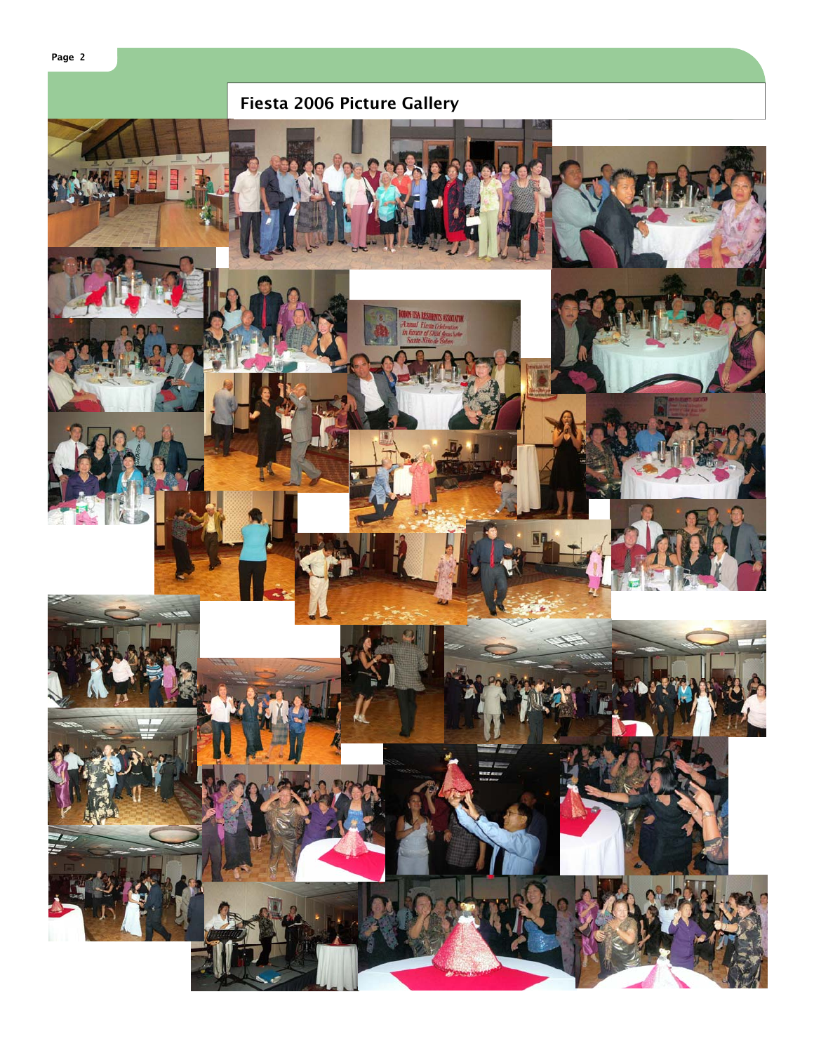

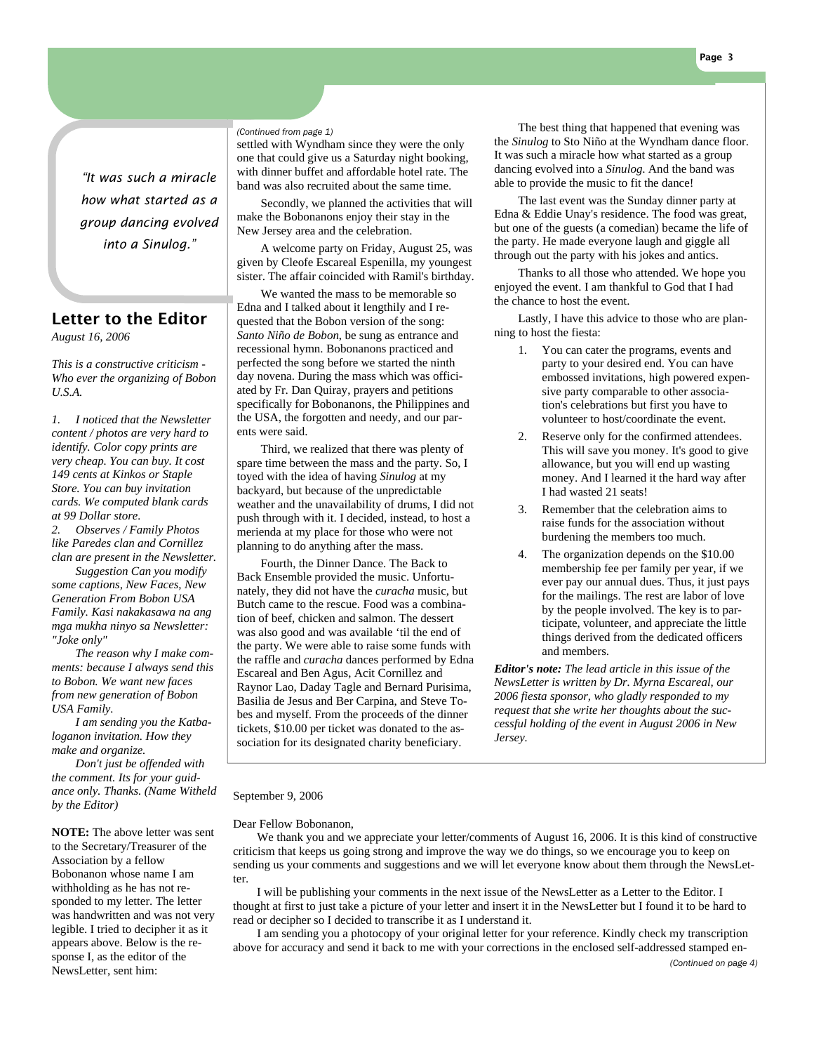*"It was such a miracle how what started as a group dancing evolved into a Sinulog."* 

# Letter to the Editor

*August 16, 2006* 

*This is a constructive criticism - Who ever the organizing of Bobon U.S.A.* 

*1. I noticed that the Newsletter content / photos are very hard to identify. Color copy prints are very cheap. You can buy. It cost 149 cents at Kinkos or Staple Store. You can buy invitation cards. We computed blank cards at 99 Dollar store. 2. Observes / Family Photos like Paredes clan and Cornillez clan are present in the Newsletter.* 

 *Suggestion Can you modify some captions, New Faces, New Generation From Bobon USA Family. Kasi nakakasawa na ang mga mukha ninyo sa Newsletter: "Joke only"* 

 *The reason why I make comments: because I always send this to Bobon. We want new faces from new generation of Bobon USA Family.* 

 *I am sending you the Katbaloganon invitation. How they make and organize.* 

 *Don't just be offended with the comment. Its for your guidance only. Thanks. (Name Witheld by the Editor)* 

**NOTE:** The above letter was sent to the Secretary/Treasurer of the Association by a fellow Bobonanon whose name I am withholding as he has not responded to my letter. The letter was handwritten and was not very legible. I tried to decipher it as it appears above. Below is the response I, as the editor of the NewsLetter, sent him:

*(Continued from page 1)* 

settled with Wyndham since they were the only one that could give us a Saturday night booking, with dinner buffet and affordable hotel rate. The band was also recruited about the same time.

 Secondly, we planned the activities that will make the Bobonanons enjoy their stay in the New Jersey area and the celebration.

 A welcome party on Friday, August 25, was given by Cleofe Escareal Espenilla, my youngest sister. The affair coincided with Ramil's birthday.

 We wanted the mass to be memorable so Edna and I talked about it lengthily and I requested that the Bobon version of the song: *Santo Niño de Bobon*, be sung as entrance and recessional hymn. Bobonanons practiced and perfected the song before we started the ninth day novena. During the mass which was officiated by Fr. Dan Quiray, prayers and petitions specifically for Bobonanons, the Philippines and the USA, the forgotten and needy, and our parents were said.

 Third, we realized that there was plenty of spare time between the mass and the party. So, I toyed with the idea of having *Sinulog* at my backyard, but because of the unpredictable weather and the unavailability of drums, I did not push through with it. I decided, instead, to host a merienda at my place for those who were not planning to do anything after the mass.

 Fourth, the Dinner Dance. The Back to Back Ensemble provided the music. Unfortunately, they did not have the *curacha* music, but Butch came to the rescue. Food was a combination of beef, chicken and salmon. The dessert was also good and was available 'til the end of the party. We were able to raise some funds with the raffle and *curacha* dances performed by Edna Escareal and Ben Agus, Acit Cornillez and Raynor Lao, Daday Tagle and Bernard Purisima, Basilia de Jesus and Ber Carpina, and Steve Tobes and myself. From the proceeds of the dinner tickets, \$10.00 per ticket was donated to the association for its designated charity beneficiary.

 The best thing that happened that evening was the *Sinulog* to Sto Niño at the Wyndham dance floor. It was such a miracle how what started as a group dancing evolved into a *Sinulog*. And the band was able to provide the music to fit the dance!

 The last event was the Sunday dinner party at Edna & Eddie Unay's residence. The food was great, but one of the guests (a comedian) became the life of the party. He made everyone laugh and giggle all through out the party with his jokes and antics.

 Thanks to all those who attended. We hope you enjoyed the event. I am thankful to God that I had the chance to host the event.

 Lastly, I have this advice to those who are planning to host the fiesta:

- 1. You can cater the programs, events and party to your desired end. You can have embossed invitations, high powered expensive party comparable to other association's celebrations but first you have to volunteer to host/coordinate the event.
- 2. Reserve only for the confirmed attendees. This will save you money. It's good to give allowance, but you will end up wasting money. And I learned it the hard way after I had wasted 21 seats!
- 3. Remember that the celebration aims to raise funds for the association without burdening the members too much.
- 4. The organization depends on the \$10.00 membership fee per family per year, if we ever pay our annual dues. Thus, it just pays for the mailings. The rest are labor of love by the people involved. The key is to participate, volunteer, and appreciate the little things derived from the dedicated officers and members.

*Editor's note: The lead article in this issue of the NewsLetter is written by Dr. Myrna Escareal, our 2006 fiesta sponsor, who gladly responded to my request that she write her thoughts about the successful holding of the event in August 2006 in New Jersey.* 

#### September 9, 2006

Dear Fellow Bobonanon,

 We thank you and we appreciate your letter/comments of August 16, 2006. It is this kind of constructive criticism that keeps us going strong and improve the way we do things, so we encourage you to keep on sending us your comments and suggestions and we will let everyone know about them through the NewsLetter.

 I will be publishing your comments in the next issue of the NewsLetter as a Letter to the Editor. I thought at first to just take a picture of your letter and insert it in the NewsLetter but I found it to be hard to read or decipher so I decided to transcribe it as I understand it.

 I am sending you a photocopy of your original letter for your reference. Kindly check my transcription above for accuracy and send it back to me with your corrections in the enclosed self-addressed stamped en-

#### *(Continued on page 4)*